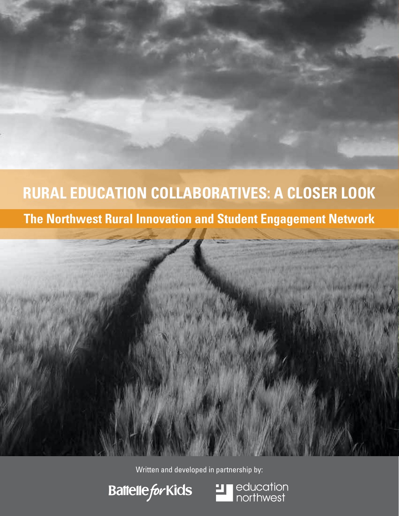# **The Northwest Rural Innovation and Student Engagement Network RURAL EDUCATION COLLABORATIVES: A CLOSER LOOK**





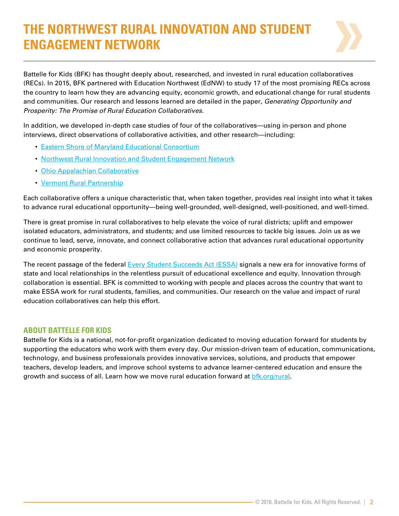## **THE NORTHWEST RURAL INNOVATION AND STUDENT ENGAGEMENT NETWORK**



Battelle for Kids (BFK) has thought deeply about, researched, and invested in rural education collaboratives (RECs). In 2015, BFK partnered with Education Northwest (EdNW) to study 17 of the most promising RECs across the country to learn how they are advancing equity, economic growth, and educational change for rural students and communities. Our research and lessons learned are detailed in the paper, *Generating Opportunity and Prosperity: The Promise of Rural Education Collaboratives*.

In addition, we developed in-depth case studies of four of the collaboratives—using in-person and phone interviews, direct observations of collaborative activities, and other research—including:

- [Eastern Shore of Maryland Educational Consortium](http://www.esmec.org/)
- [Northwest Rural Innovation and Student Engagement Network](http://nwcc.educationnorthwest.org/nw-rise-network)
- [Ohio Appalachian Collaborative](http://portal.battelleforkids.org/OAC/oac-home)
- [Vermont Rural Partnership](http://www.vermontruralpartnership.org/)

Each collaborative offers a unique characteristic that, when taken together, provides real insight into what it takes to advance rural educational opportunity—being well-grounded, well-designed, well-positioned, and well-timed.

There is great promise in rural collaboratives to help elevate the voice of rural districts; uplift and empower isolated educators, administrators, and students; and use limited resources to tackle big issues. Join us as we continue to lead, serve, innovate, and connect collaborative action that advances rural educational opportunity and economic prosperity.

The recent passage of the federal [Every Student Succeeds Act \(ESSA\)](http://www.ed.gov/essa) signals a new era for innovative forms of state and local relationships in the relentless pursuit of educational excellence and equity. Innovation through collaboration is essential. BFK is committed to working with people and places across the country that want to make ESSA work for rural students, families, and communities. Our research on the value and impact of rural education collaboratives can help this effort.

#### **ABOUT BATTELLE FOR KIDS**

Battelle for Kids is a national, not-for-profit organization dedicated to moving education forward for students by supporting the educators who work with them every day. Our mission-driven team of education, communications, technology, and business professionals provides innovative services, solutions, and products that empower teachers, develop leaders, and improve school systems to advance learner-centered education and ensure the growth and success of all. Learn how we move rural education forward at bfk.org/rural.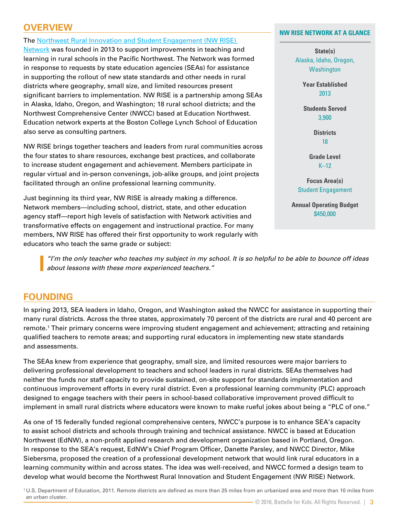## **OVERVIEW**

The [Northwest Rural Innovation and Student Engagement \(NW RISE\)](http://nwcc.educationnorthwest.org/nw-rise-network) 

Network was founded in 2013 to support improvements in teaching and learning in rural schools in the Pacific Northwest. The Network was formed in response to requests by state education agencies (SEAs) for assistance in supporting the rollout of new state standards and other needs in rural districts where geography, small size, and limited resources present significant barriers to implementation. NW RISE is a partnership among SEAs in Alaska, Idaho, Oregon, and Washington; 18 rural school districts; and the Northwest Comprehensive Center (NWCC) based at Education Northwest. Education network experts at the Boston College Lynch School of Education also serve as consulting partners.

NW RISE brings together teachers and leaders from rural communities across the four states to share resources, exchange best practices, and collaborate to increase student engagement and achievement. Members participate in regular virtual and in-person convenings, job-alike groups, and joint projects facilitated through an online professional learning community.

Just beginning its third year, NW RISE is already making a difference. Network members—including school, district, state, and other education agency staff—report high levels of satisfaction with Network activities and transformative effects on engagement and instructional practice. For many members, NW RISE has offered their first opportunity to work regularly with educators who teach the same grade or subject:

**NW RISE NETWORK AT A GLANCE**

**State(s)** Alaska, Idaho, Oregon, **Washington** 

> **Year Established** 2013

**Students Served** 3,900

> **Districts** 18

**Grade Level**  $K-12$ 

**Focus Area(s)** Student Engagement

**Annual Operating Budget** \$450,000

*"I'm the only teacher who teaches my subject in my school. It is so helpful to be able to bounce off ideas about lessons with these more experienced teachers."*

### **FOUNDING**

In spring 2013, SEA leaders in Idaho, Oregon, and Washington asked the NWCC for assistance in supporting their many rural districts. Across the three states, approximately 70 percent of the districts are rural and 40 percent are remote.1 Their primary concerns were improving student engagement and achievement; attracting and retaining qualified teachers to remote areas; and supporting rural educators in implementing new state standards and assessments.

The SEAs knew from experience that geography, small size, and limited resources were major barriers to delivering professional development to teachers and school leaders in rural districts. SEAs themselves had neither the funds nor staff capacity to provide sustained, on-site support for standards implementation and continuous improvement efforts in every rural district. Even a professional learning community (PLC) approach designed to engage teachers with their peers in school-based collaborative improvement proved difficult to implement in small rural districts where educators were known to make rueful jokes about being a "PLC of one."

As one of 15 federally funded regional comprehensive centers, NWCC's purpose is to enhance SEA's capacity to assist school districts and schools through training and technical assistance. NWCC is based at Education Northwest (EdNW), a non-profit applied research and development organization based in Portland, Oregon. In response to the SEA's request, EdNW's Chief Program Officer, Danette Parsley, and NWCC Director, Mike Siebersma, proposed the creation of a professional development network that would link rural educators in a learning community within and across states. The idea was well-received, and NWCC formed a design team to develop what would become the Northwest Rural Innovation and Student Engagement (NW RISE) Network.

1 U.S. Department of Education, 2011. Remote districts are defined as more than 25 miles from an urbanized area and more than 10 miles from an urban cluster.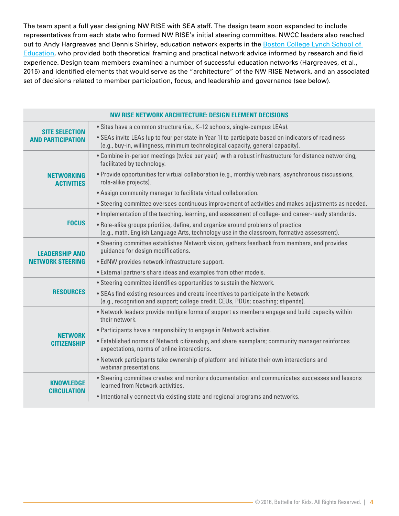The team spent a full year designing NW RISE with SEA staff. The design team soon expanded to include representatives from each state who formed NW RISE's initial steering committee. NWCC leaders also reached out to Andy Hargreaves and Dennis Shirley, education network experts in the Boston College Lynch School of Education, who provided both theoretical framing and practical network advice informed by research and field experience. Design team members examined a number of successful education networks (Hargreaves, et al., 2015) and identified elements that would serve as the "architecture" of the NW RISE Network, and an associated set of decisions related to member participation, focus, and leadership and governance (see below).

| NW RISE NETWORK ARCHITECTURE: DESIGN ELEMENT DECISIONS |                                                                                                                                                                                       |
|--------------------------------------------------------|---------------------------------------------------------------------------------------------------------------------------------------------------------------------------------------|
| <b>SITE SELECTION</b><br><b>AND PARTICIPATION</b>      | • Sites have a common structure (i.e., K-12 schools, single-campus LEAs).                                                                                                             |
|                                                        | . SEAs invite LEAs (up to four per state in Year 1) to participate based on indicators of readiness<br>(e.g., buy-in, willingness, minimum technological capacity, general capacity). |
| NETWORKING<br><b>ACTIVITIES</b>                        | . Combine in-person meetings (twice per year) with a robust infrastructure for distance networking,<br>facilitated by technology.                                                     |
|                                                        | . Provide opportunities for virtual collaboration (e.g., monthly webinars, asynchronous discussions,<br>role-alike projects).                                                         |
|                                                        | • Assign community manager to facilitate virtual collaboration.                                                                                                                       |
|                                                        | . Steering committee oversees continuous improvement of activities and makes adjustments as needed.                                                                                   |
| <b>FOCUS</b>                                           | . Implementation of the teaching, learning, and assessment of college- and career-ready standards.                                                                                    |
|                                                        | . Role-alike groups prioritize, define, and organize around problems of practice<br>(e.g., math, English Language Arts, technology use in the classroom, formative assessment).       |
| ADFRSHIP AND<br><b>NETWORK STEERING</b>                | . Steering committee establishes Network vision, gathers feedback from members, and provides<br>guidance for design modifications.                                                    |
|                                                        | · EdNW provides network infrastructure support.                                                                                                                                       |
|                                                        | • External partners share ideas and examples from other models.                                                                                                                       |
| <b>RESOURCES</b>                                       | • Steering committee identifies opportunities to sustain the Network.                                                                                                                 |
|                                                        | . SEAs find existing resources and create incentives to participate in the Network<br>(e.g., recognition and support; college credit, CEUs, PDUs; coaching; stipends).                |
| <b>NETWORK</b><br><b>CITIZENSHIP</b>                   | . Network leaders provide multiple forms of support as members engage and build capacity within<br>their network.                                                                     |
|                                                        | • Participants have a responsibility to engage in Network activities.                                                                                                                 |
|                                                        | . Established norms of Network citizenship, and share exemplars; community manager reinforces<br>expectations, norms of online interactions.                                          |
|                                                        | . Network participants take ownership of platform and initiate their own interactions and<br>webinar presentations.                                                                   |
| KNOWLEDGE<br><b>CIRCULATION</b>                        | . Steering committee creates and monitors documentation and communicates successes and lessons<br>learned from Network activities.                                                    |
|                                                        | . Intentionally connect via existing state and regional programs and networks.                                                                                                        |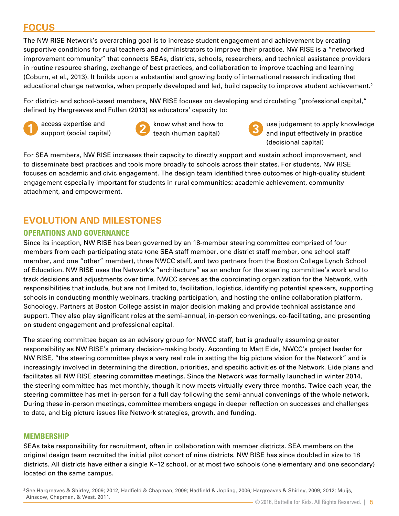## **FOCUS**

The NW RISE Network's overarching goal is to increase student engagement and achievement by creating supportive conditions for rural teachers and administrators to improve their practice. NW RISE is a "networked improvement community" that connects SEAs, districts, schools, researchers, and technical assistance providers in routine resource sharing, exchange of best practices, and collaboration to improve teaching and learning (Coburn, et al., 2013). It builds upon a substantial and growing body of international research indicating that educational change networks, when properly developed and led, build capacity to improve student achievement.<sup>2</sup>

For district- and school-based members, NW RISE focuses on developing and circulating "professional capital," defined by Hargreaves and Fullan (2013) as educators' capacity to:



access expertise and **1** support (social capital)

**3** know what and how to **2** teach (human capital)



use judgement to apply knowledge and input effectively in practice (decisional capital)

For SEA members, NW RISE increases their capacity to directly support and sustain school improvement, and to disseminate best practices and tools more broadly to schools across their states. For students, NW RISE focuses on academic and civic engagement. The design team identified three outcomes of high-quality student engagement especially important for students in rural communities: academic achievement, community attachment, and empowerment.

## **EVOLUTION AND MILESTONES**

#### **OPERATIONS AND GOVERNANCE**

Since its inception, NW RISE has been governed by an 18-member steering committee comprised of four members from each participating state (one SEA staff member, one district staff member, one school staff member, and one "other" member), three NWCC staff, and two partners from the Boston College Lynch School of Education. NW RISE uses the Network's "architecture" as an anchor for the steering committee's work and to track decisions and adjustments over time. NWCC serves as the coordinating organization for the Network, with responsibilities that include, but are not limited to, facilitation, logistics, identifying potential speakers, supporting schools in conducting monthly webinars, tracking participation, and hosting the online collaboration platform, Schoology. Partners at Boston College assist in major decision making and provide technical assistance and support. They also play significant roles at the semi-annual, in-person convenings, co-facilitating, and presenting on student engagement and professional capital.

The steering committee began as an advisory group for NWCC staff, but is gradually assuming greater responsibility as NW RISE's primary decision-making body. According to Matt Eide, NWCC's project leader for NW RISE, "the steering committee plays a very real role in setting the big picture vision for the Network" and is increasingly involved in determining the direction, priorities, and specific activities of the Network. Eide plans and facilitates all NW RISE steering committee meetings. Since the Network was formally launched in winter 2014, the steering committee has met monthly, though it now meets virtually every three months. Twice each year, the steering committee has met in-person for a full day following the semi-annual convenings of the whole network. During these in-person meetings, committee members engage in deeper reflection on successes and challenges to date, and big picture issues like Network strategies, growth, and funding.

#### **MEMBERSHIP**

SEAs take responsibility for recruitment, often in collaboration with member districts. SEA members on the original design team recruited the initial pilot cohort of nine districts. NW RISE has since doubled in size to 18 districts. All districts have either a single K–12 school, or at most two schools (one elementary and one secondary) located on the same campus.

2 See Hargreaves & Shirley, 2009; 2012; Hadfield & Chapman, 2009; Hadfield & Jopling, 2006; Hargreaves & Shirley, 2009; 2012; Muijs, Ainscow, Chapman, & West, 2011.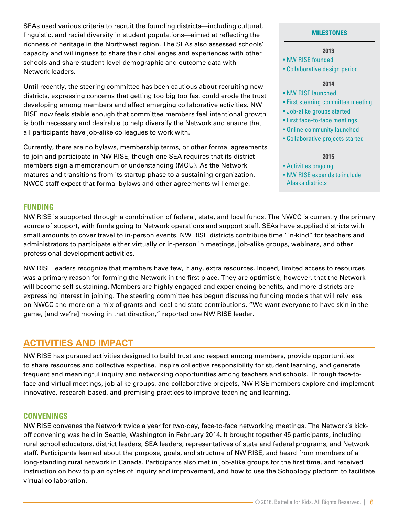SEAs used various criteria to recruit the founding districts—including cultural, linguistic, and racial diversity in student populations—aimed at reflecting the richness of heritage in the Northwest region. The SEAs also assessed schools' capacity and willingness to share their challenges and experiences with other schools and share student-level demographic and outcome data with Network leaders.

Until recently, the steering committee has been cautious about recruiting new districts, expressing concerns that getting too big too fast could erode the trust developing among members and affect emerging collaborative activities. NW RISE now feels stable enough that committee members feel intentional growth is both necessary and desirable to help diversify the Network and ensure that all participants have job-alike colleagues to work with.

Currently, there are no bylaws, membership terms, or other formal agreements to join and participate in NW RISE, though one SEA requires that its district members sign a memorandum of understanding (MOU). As the Network matures and transitions from its startup phase to a sustaining organization, NWCC staff expect that formal bylaws and other agreements will emerge.

#### **MILESTONES**

#### **2013**

- NW RISE founded
- Collaborative design period

#### **2014**

- NW RISE launched
- First steering committee meeting
- Job-alike groups started
- First face-to-face meetings
- Online community launched
- Collaborative projects started

#### **2015**

- Activities ongoing
- NW RISE expands to include Alaska districts

#### **FUNDING**

NW RISE is supported through a combination of federal, state, and local funds. The NWCC is currently the primary source of support, with funds going to Network operations and support staff. SEAs have supplied districts with small amounts to cover travel to in-person events. NW RISE districts contribute time "in-kind" for teachers and administrators to participate either virtually or in-person in meetings, job-alike groups, webinars, and other professional development activities.

NW RISE leaders recognize that members have few, if any, extra resources. Indeed, limited access to resources was a primary reason for forming the Network in the first place. They are optimistic, however, that the Network will become self-sustaining. Members are highly engaged and experiencing benefits, and more districts are expressing interest in joining. The steering committee has begun discussing funding models that will rely less on NWCC and more on a mix of grants and local and state contributions. "We want everyone to have skin in the game, [and we're] moving in that direction," reported one NW RISE leader.

#### **ACTIVITIES AND IMPACT**

NW RISE has pursued activities designed to build trust and respect among members, provide opportunities to share resources and collective expertise, inspire collective responsibility for student learning, and generate frequent and meaningful inquiry and networking opportunities among teachers and schools. Through face-toface and virtual meetings, job-alike groups, and collaborative projects, NW RISE members explore and implement innovative, research-based, and promising practices to improve teaching and learning.

#### **CONVENINGS**

NW RISE convenes the Network twice a year for two-day, face-to-face networking meetings. The Network's kickoff convening was held in Seattle, Washington in February 2014. It brought together 45 participants, including rural school educators, district leaders, SEA leaders, representatives of state and federal programs, and Network staff. Participants learned about the purpose, goals, and structure of NW RISE, and heard from members of a long-standing rural network in Canada. Participants also met in job-alike groups for the first time, and received instruction on how to plan cycles of inquiry and improvement, and how to use the Schoology platform to facilitate virtual collaboration.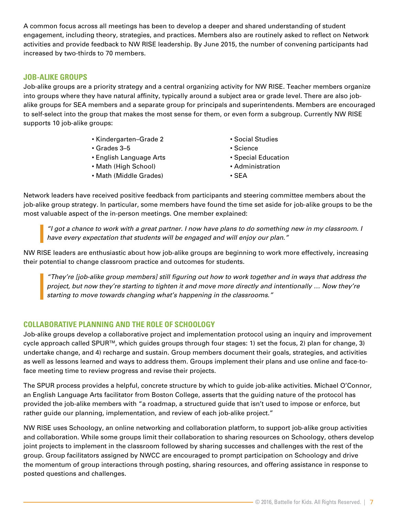A common focus across all meetings has been to develop a deeper and shared understanding of student engagement, including theory, strategies, and practices. Members also are routinely asked to reflect on Network activities and provide feedback to NW RISE leadership. By June 2015, the number of convening participants had increased by two-thirds to 70 members.

#### **JOB-ALIKE GROUPS**

Job-alike groups are a priority strategy and a central organizing activity for NW RISE. Teacher members organize into groups where they have natural affinity, typically around a subject area or grade level. There are also jobalike groups for SEA members and a separate group for principals and superintendents. Members are encouraged to self-select into the group that makes the most sense for them, or even form a subgroup. Currently NW RISE supports 10 job-alike groups:

- Kindergarten–Grade 2
- Grades 3–5
- English Language Arts
- Math (High School)
- Math (Middle Grades)
- Social Studies
- Science
- Special Education
- Administration
- SEA

Network leaders have received positive feedback from participants and steering committee members about the job-alike group strategy. In particular, some members have found the time set aside for job-alike groups to be the most valuable aspect of the in-person meetings. One member explained:

*"I got a chance to work with a great partner. I now have plans to do something new in my classroom. I have every expectation that students will be engaged and will enjoy our plan."*

NW RISE leaders are enthusiastic about how job-alike groups are beginning to work more effectively, increasing their potential to change classroom practice and outcomes for students.

*"They're [job-alike group members] still figuring out how to work together and in ways that address the project, but now they're starting to tighten it and move more directly and intentionally … Now they're starting to move towards changing what's happening in the classrooms."*

#### **COLLABORATIVE PLANNING AND THE ROLE OF SCHOOLOGY**

Job-alike groups develop a collaborative project and implementation protocol using an inquiry and improvement cycle approach called SPURTM, which guides groups through four stages: 1) set the focus, 2) plan for change, 3) undertake change, and 4) recharge and sustain. Group members document their goals, strategies, and activities as well as lessons learned and ways to address them. Groups implement their plans and use online and face-toface meeting time to review progress and revise their projects.

The SPUR process provides a helpful, concrete structure by which to guide job-alike activities. Michael O'Connor, an English Language Arts facilitator from Boston College, asserts that the guiding nature of the protocol has provided the job-alike members with "a roadmap, a structured guide that isn't used to impose or enforce, but rather guide our planning, implementation, and review of each job-alike project."

NW RISE uses Schoology, an online networking and collaboration platform, to support job-alike group activities and collaboration. While some groups limit their collaboration to sharing resources on Schoology, others develop joint projects to implement in the classroom followed by sharing successes and challenges with the rest of the group. Group facilitators assigned by NWCC are encouraged to prompt participation on Schoology and drive the momentum of group interactions through posting, sharing resources, and offering assistance in response to posted questions and challenges.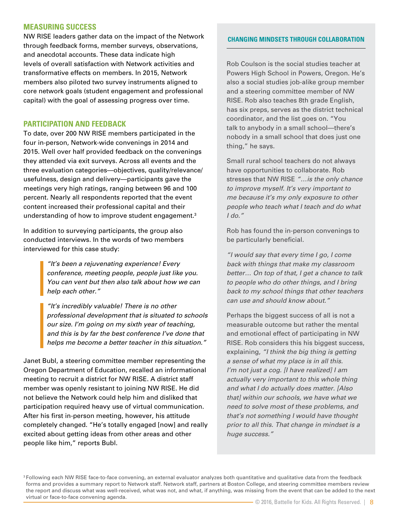#### **MEASURING SUCCESS**

NW RISE leaders gather data on the impact of the Network through feedback forms, member surveys, observations, and anecdotal accounts. These data indicate high levels of overall satisfaction with Network activities and transformative effects on members. In 2015, Network members also piloted two survey instruments aligned to core network goals (student engagement and professional capital) with the goal of assessing progress over time.

#### **PARTICIPATION AND FEEDBACK**

To date, over 200 NW RISE members participated in the four in-person, Network-wide convenings in 2014 and 2015. Well over half provided feedback on the convenings they attended via exit surveys. Across all events and the three evaluation categories—objectives, quality/relevance/ usefulness, design and delivery—participants gave the meetings very high ratings, ranging between 96 and 100 percent. Nearly all respondents reported that the event content increased their professional capital and their understanding of how to improve student engagement.3

In addition to surveying participants, the group also conducted interviews. In the words of two members interviewed for this case study:

> *"It's been a rejuvenating experience! Every conference, meeting people, people just like you. You can vent but then also talk about how we can help each other."*

*"It's incredibly valuable! There is no other professional development that is situated to schools our size. I'm going on my sixth year of teaching, and this is by far the best conference I've done that helps me become a better teacher in this situation."* 

Janet Bubl, a steering committee member representing the Oregon Department of Education, recalled an informational meeting to recruit a district for NW RISE. A district staff member was openly resistant to joining NW RISE. He did not believe the Network could help him and disliked that participation required heavy use of virtual communication. After his first in-person meeting, however, his attitude completely changed. "He's totally engaged [now] and really excited about getting ideas from other areas and other people like him," reports Bubl.

#### **CHANGING MINDSETS THROUGH COLLABORATION**

Rob Coulson is the social studies teacher at Powers High School in Powers, Oregon. He's also a social studies job-alike group member and a steering committee member of NW RISE. Rob also teaches 8th grade English, has six preps, serves as the district technical coordinator, and the list goes on. "You talk to anybody in a small school—there's nobody in a small school that does just one thing," he says.

Small rural school teachers do not always have opportunities to collaborate. Rob stresses that NW RISE *"…is the only chance to improve myself. It's very important to me because it's my only exposure to other people who teach what I teach and do what I do."*

Rob has found the in-person convenings to be particularly beneficial.

*"I would say that every time I go, I come back with things that make my classroom better… On top of that, I get a chance to talk to people who do other things, and I bring back to my school things that other teachers can use and should know about."*

Perhaps the biggest success of all is not a measurable outcome but rather the mental and emotional effect of participating in NW RISE. Rob considers this his biggest success, explaining, *"I think the big thing is getting a sense of what my place is in all this. I'm not just a cog. [I have realized] I am actually very important to this whole thing and what I do actually does matter. [Also that] within our schools, we have what we need to solve most of these problems, and that's not something I would have thought prior to all this. That change in mindset is a huge success."*

<sup>&</sup>lt;sup>3</sup> Following each NW RISE face-to-face convening, an external evaluator analyzes both quantitative and qualitative data from the feedback forms and provides a summary report to Network staff. Network staff, partners at Boston College, and steering committee members review the report and discuss what was well-received, what was not, and what, if anything, was missing from the event that can be added to the next virtual or face-to-face convening agenda.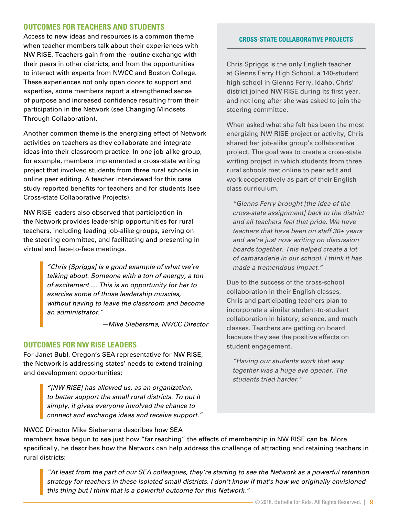#### **OUTCOMES FOR TEACHERS AND STUDENTS**

Access to new ideas and resources is a common theme when teacher members talk about their experiences with NW RISE. Teachers gain from the routine exchange with their peers in other districts, and from the opportunities to interact with experts from NWCC and Boston College. These experiences not only open doors to support and expertise, some members report a strengthened sense of purpose and increased confidence resulting from their participation in the Network (see Changing Mindsets Through Collaboration).

Another common theme is the energizing effect of Network activities on teachers as they collaborate and integrate ideas into their classroom practice. In one job-alike group, for example, members implemented a cross-state writing project that involved students from three rural schools in online peer editing. A teacher interviewed for this case study reported benefits for teachers and for students (see Cross-state Collaborative Projects).

NW RISE leaders also observed that participation in the Network provides leadership opportunities for rural teachers, including leading job-alike groups, serving on the steering committee, and facilitating and presenting in virtual and face-to-face meetings.

> *"Chris [Spriggs] is a good example of what we're talking about. Someone with a ton of energy, a ton of excitement … This is an opportunity for her to exercise some of those leadership muscles, without having to leave the classroom and become an administrator."*

> > *—Mike Siebersma, NWCC Director*

#### **OUTCOMES FOR NW RISE LEADERS**

For Janet Bubl, Oregon's SEA representative for NW RISE, the Network is addressing states' needs to extend training and development opportunities:

> *"[NW RISE] has allowed us, as an organization, to better support the small rural districts. To put it simply, it gives everyone involved the chance to connect and exchange ideas and receive support."*

#### **CROSS-STATE COLLABORATIVE PROJECTS**

Chris Spriggs is the only English teacher at Glenns Ferry High School, a 140-student high school in Glenns Ferry, Idaho. Chris' district joined NW RISE during its first year, and not long after she was asked to join the steering committee.

When asked what she felt has been the most energizing NW RISE project or activity, Chris shared her job-alike group's collaborative project. The goal was to create a cross-state writing project in which students from three rural schools met online to peer edit and work cooperatively as part of their English class curriculum.

*"Glenns Ferry brought [the idea of the cross-state assignment] back to the district and all teachers feel that pride. We have teachers that have been on staff 30+ years and we're just now writing on discussion boards together. This helped create a lot of camaraderie in our school. I think it has made a tremendous impact."*

Due to the success of the cross-school collaboration in their English classes, Chris and participating teachers plan to incorporate a similar student-to-student collaboration in history, science, and math classes. Teachers are getting on board because they see the positive effects on student engagement.

*"Having our students work that way together was a huge eye opener. The students tried harder."*

NWCC Director Mike Siebersma describes how SEA

members have begun to see just how "far reaching" the effects of membership in NW RISE can be. More specifically, he describes how the Network can help address the challenge of attracting and retaining teachers in rural districts:

*"At least from the part of our SEA colleagues, they're starting to see the Network as a powerful retention strategy for teachers in these isolated small districts. I don't know if that's how we originally envisioned this thing but I think that is a powerful outcome for this Network."*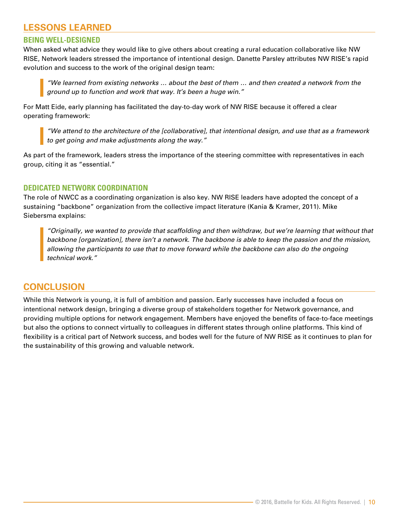## **LESSONS LEARNED**

#### **BEING WELL-DESIGNED**

When asked what advice they would like to give others about creating a rural education collaborative like NW RISE, Network leaders stressed the importance of intentional design. Danette Parsley attributes NW RISE's rapid evolution and success to the work of the original design team:

*"We learned from existing networks … about the best of them … and then created a network from the ground up to function and work that way. It's been a huge win."*

For Matt Eide, early planning has facilitated the day-to-day work of NW RISE because it offered a clear operating framework:

*"We attend to the architecture of the [collaborative], that intentional design, and use that as a framework to get going and make adjustments along the way."* 

As part of the framework, leaders stress the importance of the steering committee with representatives in each group, citing it as "essential."

#### **DEDICATED NETWORK COORDINATION**

The role of NWCC as a coordinating organization is also key. NW RISE leaders have adopted the concept of a sustaining "backbone" organization from the collective impact literature (Kania & Kramer, 2011). Mike Siebersma explains:

*"Originally, we wanted to provide that scaffolding and then withdraw, but we're learning that without that backbone [organization], there isn't a network. The backbone is able to keep the passion and the mission, allowing the participants to use that to move forward while the backbone can also do the ongoing technical work."*

#### **CONCLUSION**

While this Network is young, it is full of ambition and passion. Early successes have included a focus on intentional network design, bringing a diverse group of stakeholders together for Network governance, and providing multiple options for network engagement. Members have enjoyed the benefits of face-to-face meetings but also the options to connect virtually to colleagues in different states through online platforms. This kind of flexibility is a critical part of Network success, and bodes well for the future of NW RISE as it continues to plan for the sustainability of this growing and valuable network.